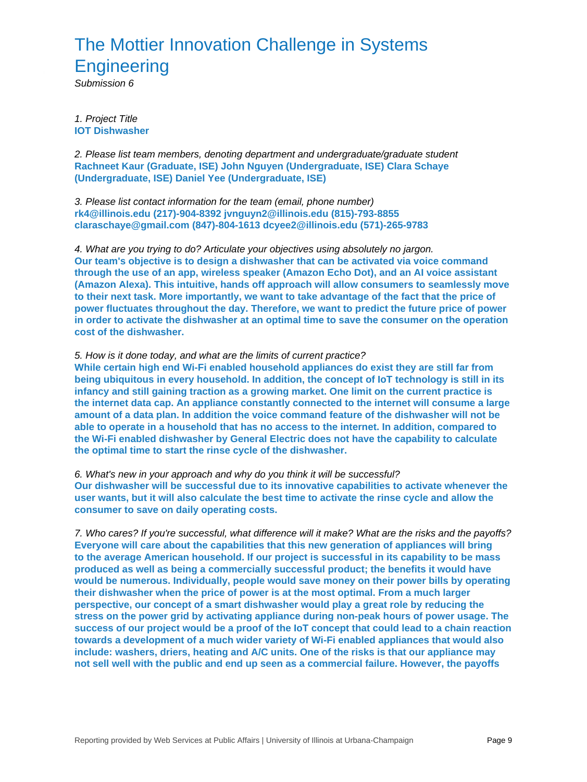## The Mottier Innovation Challenge in Systems **Engineering**

Submission 6

1. Project Title **IOT Dishwasher**

2. Please list team members, denoting department and undergraduate/graduate student **Rachneet Kaur (Graduate, ISE) John Nguyen (Undergraduate, ISE) Clara Schaye (Undergraduate, ISE) Daniel Yee (Undergraduate, ISE)**

3. Please list contact information for the team (email, phone number) **rk4@illinois.edu (217)-904-8392 jvnguyn2@illinois.edu (815)-793-8855 claraschaye@gmail.com (847)-804-1613 dcyee2@illinois.edu (571)-265-9783**

4. What are you trying to do? Articulate your objectives using absolutely no jargon. **Our team's objective is to design a dishwasher that can be activated via voice command through the use of an app, wireless speaker (Amazon Echo Dot), and an AI voice assistant (Amazon Alexa). This intuitive, hands off approach will allow consumers to seamlessly move to their next task. More importantly, we want to take advantage of the fact that the price of power fluctuates throughout the day. Therefore, we want to predict the future price of power in order to activate the dishwasher at an optimal time to save the consumer on the operation cost of the dishwasher.**

## 5. How is it done today, and what are the limits of current practice?

**While certain high end Wi-Fi enabled household appliances do exist they are still far from being ubiquitous in every household. In addition, the concept of IoT technology is still in its infancy and still gaining traction as a growing market. One limit on the current practice is the internet data cap. An appliance constantly connected to the internet will consume a large amount of a data plan. In addition the voice command feature of the dishwasher will not be able to operate in a household that has no access to the internet. In addition, compared to the Wi-Fi enabled dishwasher by General Electric does not have the capability to calculate the optimal time to start the rinse cycle of the dishwasher.**

6. What's new in your approach and why do you think it will be successful? **Our dishwasher will be successful due to its innovative capabilities to activate whenever the user wants, but it will also calculate the best time to activate the rinse cycle and allow the consumer to save on daily operating costs.**

7. Who cares? If you're successful, what difference will it make? What are the risks and the payoffs? **Everyone will care about the capabilities that this new generation of appliances will bring to the average American household. If our project is successful in its capability to be mass produced as well as being a commercially successful product; the benefits it would have would be numerous. Individually, people would save money on their power bills by operating their dishwasher when the price of power is at the most optimal. From a much larger perspective, our concept of a smart dishwasher would play a great role by reducing the stress on the power grid by activating appliance during non-peak hours of power usage. The success of our project would be a proof of the IoT concept that could lead to a chain reaction towards a development of a much wider variety of Wi-Fi enabled appliances that would also include: washers, driers, heating and A/C units. One of the risks is that our appliance may not sell well with the public and end up seen as a commercial failure. However, the payoffs**